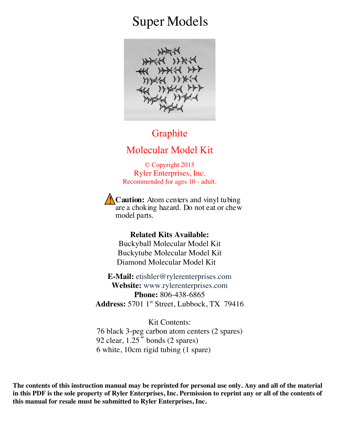# Super Models



#### **Graphite**

#### Molecular Model Kit

© Copyright 2015 Ryler Enterprises, Inc. Recommended for ages 10 - adult.

**Caution:** Atom centers and vinyl tubing are a choking hazard. Do not eat or chew model parts.

**Related Kits Available:** Buckyball Molecular Model Kit Buckytube Molecular Model Kit Diamond Molecular Model Kit

**E-Mail:** etishler@rylerenterprises.com **Website:** www.rylerenterprises.com **Phone:** 806-438-6865 **Address:** 5701 1st Street, Lubbock, TX 79416

Kit Contents: 76 black 3-peg carbon atom centers (2 spares) 92 clear, 1.25**˝** bonds (2 spares) 6 white, 10cm rigid tubing (1 spare)

**The contents of this instruction manual may be reprinted for personal use only. Any and all of the material in this PDF is the sole property of Ryler Enterprises, Inc. Permission to reprint any or all of the contents of this manual for resale must be submitted to Ryler Enterprises, Inc.**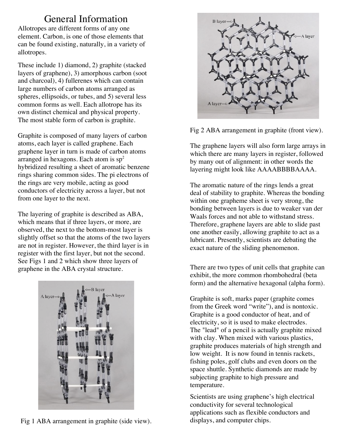### General Information

Allotropes are different forms of any one element. Carbon, is one of those elements that can be found existing, naturally, in a variety of allotropes.

These include 1) diamond, 2) graphite (stacked layers of graphene), 3) amorphous carbon (soot and charcoal), 4) fullerenes which can contain large numbers of carbon atoms arranged as spheres, ellipsoids, or tubes, and 5) several less common forms as well. Each allotrope has its own distinct chemical and physical property. The most stable form of carbon is graphite.

Graphite is composed of many layers of carbon atoms, each layer is called graphene. Each graphene layer in turn is made of carbon atoms arranged in hexagons. Each atom is  $sp<sup>2</sup>$ hybridized resulting a sheet of aromatic benzene rings sharing common sides. The pi electrons of the rings are very mobile, acting as good conductors of electricity across a layer, but not from one layer to the next.

The layering of graphite is described as ABA, which means that if three layers, or more, are observed, the next to the bottom-most layer is slightly offset so that the atoms of the two layers are not in register. However, the third layer is in register with the first layer, but not the second. See Figs 1 and 2 which show three layers of graphene in the ABA crystal structure.



Fig 1 ABA arrangement in graphite (side view).



Fig 2 ABA arrangement in graphite (front view).

The graphene layers will also form large arrays in which there are many layers in register, followed by many out of alignment: in other words the layering might look like AAAABBBBAAAA.

The aromatic nature of the rings lends a great deal of stability to graphite. Whereas the bonding within one grapheme sheet is very strong, the bonding between layers is due to weaker van der Waals forces and not able to withstand stress. Therefore, graphene layers are able to slide past one another easily, allowing graphite to act as a lubricant. Presently, scientists are debating the exact nature of the sliding phenomenon.

There are two types of unit cells that graphite can exhibit, the more common rhombohedral (beta form) and the alternative hexagonal (alpha form).

Graphite is soft, marks paper (graphite comes from the Greek word "write"), and is nontoxic. Graphite is a good conductor of heat, and of electricity, so it is used to make electrodes. The "lead" of a pencil is actually graphite mixed with clay. When mixed with various plastics, graphite produces materials of high strength and low weight. It is now found in tennis rackets, fishing poles, golf clubs and even doors on the space shuttle. Synthetic diamonds are made by subjecting graphite to high pressure and temperature.

Scientists are using graphene's high electrical conductivity for several technological applications such as flexible conductors and displays, and computer chips.